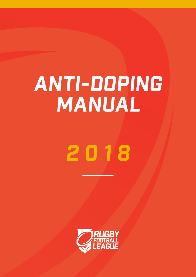# ANTI-DOPING MANUAL

# 2018

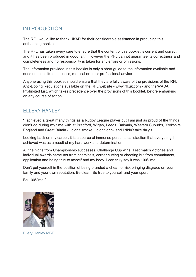# **INTRODUCTION**

The RFL would like to thank UKAD for their considerable assistance in producing this anti-doping booklet.

The RFL has taken every care to ensure that the content of this booklet is current and correct and it has been produced in good faith. However the RFL cannot guarantee its correctness and completeness and no responsibility is taken for any errors or omissions.

The information provided in this booklet is only a short guide to the information available and does not constitute business, medical or other professional advice.

Anyone using this booklet should ensure that they are fully aware of the provisions of the RFL Anti-Doping Regulations available on the RFL website - www.rfl.uk.com - and the WADA Prohibited List, which takes precedence over the provisions of this booklet, before embarking on any course of action.

# ELLERY HANLEY

"I achieved a great many things as a Rugby League player but I am just as proud of the things I didn't do during my time with at Bradford, Wigan, Leeds, Balmain, Western Suburbs, Yorkshire, England and Great Britain - I didn't smoke, I didn't drink and I didn't take drugs.

Looking back on my career, it is a source of immense personal satisfaction that everything I achieved was as a result of my hard work and determination.

All the highs from Championship successes, Challenge Cup wins, Test match victories and individual awards came not from chemicals, corner cutting or cheating but from commitment, application and being true to myself and my body. I can truly say it was 100%me.

Don't put yourself in the position of being branded a cheat, or risk bringing disgrace on your family and your own reputation. Be clean. Be true to yourself and your sport.

Be 100%me!"



Ellery Hanley MBE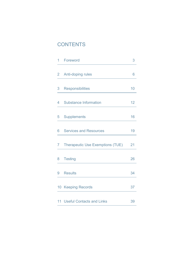# **CONTENTS**

| 1 | Foreword                                | 3               |
|---|-----------------------------------------|-----------------|
| 2 | Anti-doping rules                       | 6               |
| 3 | <b>Responsibilities</b>                 | 10              |
| 4 | <b>Substance Information</b>            | 12 <sub>2</sub> |
| 5 | <b>Supplements</b>                      | 16              |
| 6 | <b>Services and Resources</b>           | 19              |
| 7 | <b>Therapeutic Use Exemptions (TUE)</b> | 21              |
| 8 | <b>Testing</b>                          | 26              |
| 9 | <b>Results</b>                          | 34              |
|   | 10 Keeping Records                      | 37              |
|   | 11 Useful Contacts and Links            | 39              |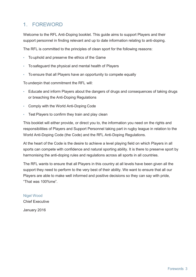# 1. FOREWORD

Welcome to the RFL Anti-Doping booklet. This guide aims to support Players and their support personnel in finding relevant and up to date information relating to anti-doping.

The RFL is committed to the principles of clean sport for the following reasons:

- To uphold and preserve the ethics of the Game
- To safeguard the physical and mental health of Players
- To ensure that all Players have an opportunity to compete equally

To underpin that commitment the RFL will:

- Educate and inform Players about the dangers of drugs and consequences of taking drugs or breaching the Anti-Doping Regulations
- Comply with the World Anti-Doping Code
- Test Players to confirm they train and play clean

This booklet will either provide, or direct you to, the information you need on the rights and responsibilities of Players and Support Personnel taking part in rugby league in relation to the World Anti-Doping Code (the Code) and the RFL Anti-Doping Regulations.

At the heart of the Code is the desire to achieve a level playing field on which Players in all sports can compete with confidence and natural sporting ability. It is there to preserve sport by harmonising the anti-doping rules and regulations across all sports in all countries.

The RFL wants to ensure that all Players in this country at all levels have been given all the support they need to perform to the very best of their ability. We want to ensure that all our Players are able to make well informed and positive decisions so they can say with pride, "That was 100%me".

Nigel Wood Chief Executive January 2016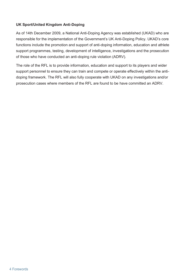# **UK Sport/United Kingdom Anti-Doping**

As of 14th December 2009, a National Anti-Doping Agency was established (UKAD) who are responsible for the implementation of the Government's UK Anti-Doping Policy. UKAD's core functions include the promotion and support of anti-doping information, education and athlete support programmes, testing, development of intelligence, investigations and the prosecution of those who have conducted an anti-doping rule violation (ADRV).

The role of the RFL is to provide information, education and support to its players and wider support personnel to ensure they can train and compete or operate effectively within the antidoping framework. The RFL will also fully cooperate with UKAD on any investigations and/or prosecution cases where members of the RFL are found to be have committed an ADRV.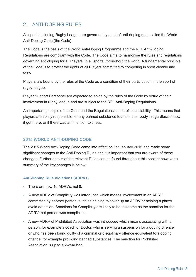# 2 ANTI-DOPING RUI FS

All sports including Rugby League are governed by a set of anti-doping rules called the World Anti-Doping Code (the Code).

The Code is the basis of the World Anti-Doping Programme and the RFL Anti-Doping Regulations are compliant with the Code. The Code aims to harmonise the rules and regulations governing anti-doping for all Players, in all sports, throughout the world. A fundamental principle of the Code is to protect the rights of all Players committed to competing in sport cleanly and fairly.

Players are bound by the rules of the Code as a condition of their participation in the sport of rugby league.

Player Support Personnel are expected to abide by the rules of the Code by virtue of their involvement in rugby league and are subject to the RFL Anti-Doping Regulations.

An important principle of the Code and the Regulations is that of 'strict liability'. This means that players are solely responsible for any banned substance found in their body - regardless of how it got there, or if there was an intention to cheat.

# **2015 WORLD ANTI-DOPING CODE**

The 2015 World Anti-Doping Code came into effect on 1st January 2015 and made some significant changes to the Anti-Doping Rules and it is important that you are aware of these changes. Further details of the relevant Rules can be found throughout this booklet however a summary of the key changes is below:

# **Anti-Doping Rule Violations (ADRVs)**

- There are now 10 ADRVs, not 8.
- A new ADRV of Complicity was introduced which means involvement in an ADRV committed by another person, such as helping to cover up an ADRV or helping a player avoid detection. Sanctions for Complicity are likely to be the same as the sanction for the ADRV that person was complicit in.
- A new ADRV of Prohibited Association was introduced which means associating with a person, for example a coach or Doctor, who is serving a suspension for a doping offence or who has been found guilty of a criminal or disciplinary offence equivalent to a doping offence, for example providing banned substances. The sanction for Prohibited Association is up to a 2-year ban.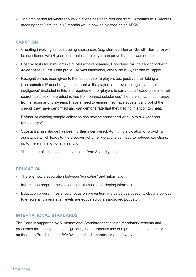The time period for whereabouts violations has been reduced from 18 months to 12 months, meaning that 3 strikes in 12 months would now be classed as an ADRV.

# **SANCTION**

- Cheating involving serious doping substances (e.g. steroids, Human Growth Hormone) will be sanctioned with 4-year bans, unless the player can prove that use was not intentional.
- Positive tests for stimulants (e.g. Methylhexaneamine, Ephedrine) will be sanctioned with 4-year bans if UKAD can prove use was intentional, otherwise a 2-year ban will apply.
- Recognition has been given to the fact that some players test positive after taking a Contaminated Product (e.g. supplements). If a player can prove 'no significant fault or negligence' (included in this is a requirement for players to carry out a "reasonable internet search" to check the product is free from banned substances) then the sanction can range from a reprimand to 2-years. Players need to ensure they have substantial proof of the checks they have performed and can demonstrate that they had no intention to cheat.
- Refusal or evading sample collection can now be sanctioned with up to a 4-year ban (previously 2).
- Substantial assistance has been further incentivised. Admitting a violation or providing assistance which leads to the discovery of other violations can lead to reduced sanctions, up to the elimination of any sanction.
- The statute of limitations has increased from 8 to 10 years.

# **EDUCATION**

- There is now a separation between 'education' and 'information'.
- Information programmes should contain basic anti-doping information.
- Education programmes should focus on prevention and be values based. Clubs are obliged to ensure all players at all levels are educated by an approved Educator.

# **INTERNATIONAL STANDARDS**

The Code is supported by 5 International Standards that outline mandatory systems and processes for: testing and investigations, the therapeutic use of a prohibited substance or method, the Prohibited List, WADA accredited laboratories and privacy.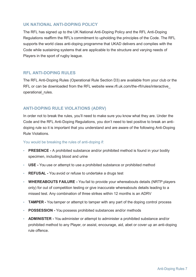# **UK NATIONAL ANTI-DOPING POLICY**

The RFL has signed up to the UK National Anti-Doping Policy and the RFL Anti-Doping Regulations reaffirm the RFL's commitment to upholding the principles of the Code. The RFL supports the world class anti-doping programme that UKAD delivers and complies with the Code while sustaining systems that are applicable to the structure and varying needs of Players in the sport of rugby league.

# **RFL ANTI-DOPING RULES**

The RFL Anti-Doping Rules (Operational Rule Section D3) are available from your club or the RFL or can be downloaded from the RFL website www.rfl.uk.com/the-rfl/rules/interactive\_ operational rules.

# **ANTI-DOPING RULE VIOLATIONS (ADRV)**

In order not to break the rules, you'll need to make sure you know what they are. Under the Code and the RFL Anti-Doping Regulations, you don't need to test positive to break an antidoping rule so it is important that you understand and are aware of the following Anti-Doping Rule Violations.

# You would be breaking the rules of anti-doping if:

- **PRESENCE -** A prohibited substance and/or prohibited method is found in your bodily specimen, including blood and urine
- **USE -** You use or attempt to use a prohibited substance or prohibited method
- **REFUSAL -** You avoid or refuse to undertake a drugs test
- **WHEREABOUTS FAILURE -** You fail to provide your whereabouts details (NRTP players only) for out of competition testing or give inaccurate whereabouts details leading to a missed test. Any combination of three strikes within 12 months is an ADRV
- **TAMPER -** You tamper or attempt to tamper with any part of the doping control process
- **POSSESSION -** You possess prohibited substances and/or methods
- **ADMINISTER -** You administer or attempt to administer a prohibited substance and/or prohibited method to any Player, or assist, encourage, aid, abet or cover up an anti-doping rule offence.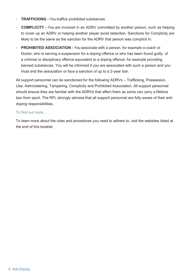- **TRAFFICKING -** You traffick prohibited substances
- **COMPLICITY -** You are involved in an ADRV committed by another person, such as helping to cover up an ADRV or helping another player avoid detection. Sanctions for Complicity are likely to be the same as the sanction for the ADRV that person was complicit in.
- **PROHIBITED ASSOCIATION -** You associate with a person, for example a coach or Doctor, who is serving a suspension for a doping offence or who has been found guilty of a criminal or disciplinary offence equivalent to a doping offence, for example providing banned substances. You will be informed if you are associated with such a person and you must end the association or face a sanction of up to a 2-year ban.

All support personnel can be sanctioned for the following ADRVs – Trafficking, Possession, Use, Administering, Tampering, Complicity and Prohibited Association. All support personnel should ensure they are familiar with the ADRVs that affect them as some can carry a lifetime ban from sport. The RFL strongly advises that all support personnel are fully aware of their antidoping responsibilities.

# To find out more...

To learn more about the rules and procedures you need to adhere to, visit the websites listed at the end of this booklet.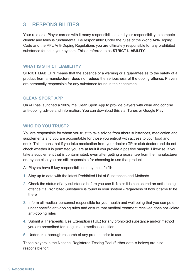# 3. RESPONSIBILITIES

Your role as a Player carries with it many responsibilities, and your responsibility to compete cleanly and fairly is fundamental. Be responsible: Under the rules of the World Anti-Doping Code and the RFL Anti-Doping Regulations you are ultimately responsible for any prohibited substance found in your system. This is referred to as **STRICT LIABILITY**.

# **WHAT IS STRICT LIABILITY?**

**STRICT LIABILITY** means that the absence of a warning or a guarantee as to the safety of a product from a manufacturer does not reduce the seriousness of the doping offence. Players are personally responsible for any substance found in their specimen.

# **CLEAN SPORT APP**

UKAD has launched a 100% me Clean Sport App to provide players with clear and concise anti-doping advice and information. You can download this via iTunes or Google Play.

# **WHO DO YOU TRUST?**

You are responsible for whom you trust to take advice from about substances, medication and supplements and you are accountable for those you entrust with access to your food and drink. This means that if you take medication from your doctor (GP or club doctor) and do not check whether it is permitted you are at fault if you provide a positive sample. Likewise, if you take a supplement that is contaminated, even after getting a guarantee from the manufacturer or anyone else, you are still responsible for choosing to use that product.

All Players have 5 key responsibilities they must fulfill:

- 1. Stay up to date with the latest Prohibited List of Substances and Methods
- 2. Check the status of any substance before you use it. Note: It is considered an anti-doping offence if a Prohibited Substance is found in your system - regardless of how it came to be there
- 3. Inform all medical personnel responsible for your health and well being that you compete under specific anti-doping rules and ensure that medical treatment received does not violate anti-doping rules
- 4. Submit a Therapeutic Use Exemption (TUE) for any prohibited substance and/or method you are prescribed for a legitimate medical condition
- 5. Undertake thorough research of any product prior to use.

Those players in the National Registered Testing Pool (further details below) are also responsible for: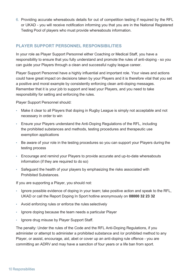6. Providing accurate whereabouts details for out of competition testing if required by the RFL or UKAD - you will receive notification informing you that you are in the National Registered Testing Pool of players who must provide whereabouts information.

# **PLAYER SUPPORT PERSONNEL RESPONSIBILITIES**

In your role as Player Support Personnel either Coaching or Medical Staff, you have a responsibility to ensure that you fully understand and promote the rules of anti-doping - so you can guide your Players through a clean and successful rugby league career.

Player Support Personnel have a highly influential and important role. Your views and actions could have great impact on decisions taken by your Players and it is therefore vital that you set a positive and moral example by consistently enforcing clean anti-doping messages. Remember that it is your job to support and lead your Players, and you need to take responsibility for setting and enforcing the rules.

Player Support Personnel should:

- Make it clear to all Players that doping in Rugby League is simply not acceptable and not necessary in order to win
- Ensure your Players understand the Anti-Doping Regulations of the RFL, including the prohibited substances and methods, testing procedures and therapeutic use exemption applications
- Be aware of your role in the testing procedures so you can support your Players during the testing process
- Encourage and remind your Players to provide accurate and up-to-date whereabouts information (if they are required to do so)
- Safeguard the health of your players by emphasizing the risks associated with Prohibited Substances.

If you are supporting a Player, you should not:

- Ignore possible evidence of doping in your team; take positive action and speak to the RFL, UKAD or call the Report Doping In Sport hotline anonymously on **08000 32 23 32**
- Avoid enforcing rules or enforce the rules selectively
- Ignore doping because the team needs a particular Player
- Ignore drug misuse by Player Support Staff.

The penalty: Under the rules of the Code and the RFL Anti-Doping Regulations, if you administer or attempt to administer a prohibited substance and /or prohibited method to any Player, or assist, encourage, aid, abet or cover up an anti-doping rule offence - you are committing an ADRV and may have a sanction of four years or a life ban from sport.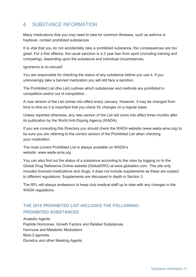# 4. SUBSTANCE INFORMATION

Many medications that you may need to take for common illnesses, such as asthma or hayfever, contain prohibited substances.

It is vital that you do not accidentally take a prohibited substance, the consequences are too great. For a first offence, the usual sanction is a 2 year ban from sport (including training and competing), depending upon the substance and individual circumstances.

Ignorance is no excuse!

You are responsible for checking the status of any substance before you use it. If you unknowingly take a banned medication you will still face a sanction.

The Prohibited List (the List) outlines which substances and methods are prohibited in competition and/or out of competition.

A new version of the List comes into effect every January. However, it may be changed from time to time so it is important that you check for changes on a regular basis.

Unless reported otherwise, any new version of the List will come into effect three months after its publication by the World Anti-Doping Agency (WADA).

If you are consulting this Directory you should check the WADA website (www.wada-ama.org) to be sure you are referring to the correct version of the Prohibited List when checking your medication.

The most current Prohibited List is always available on WADA's website: www.wada-ama.org

You can also find out the status of a substance according to the rules by logging on to the Global Drug Reference Online website (GlobalDRO) at www.globaldro.com. This site only includes licensed medications and drugs; it does not include supplements as these are subject to different regulations. Supplements are discussed in depth in Section 3.

The RFL will always endeavour to keep club medical staff up to date with any changes in the WADA regulations.

# **THE 2016 PROHIBITED LIST INCLUDES THE FOLLOWING: PROHIBITED SUBSTANCES**

Anabolic Agents Peptide Hormones, Growth Factors and Related Substances Hormone and Metabolic Modulators Beta-2 agonists Diuretics and other Masking Agents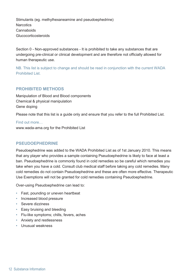Stimulants (eg. methylhexaneamine and pseudoephedrine) **Narcotics Cannaboids** Glucocorticosteroids

Section 0 - Non-approved substances - It is prohibited to take any substances that are undergoing pre-clinical or clinical development and are therefore not officially allowed for human therapeutic use.

NB. This list is subject to change and should be read in conjunction with the current WADA Prohibited List.

# **PROHIBITED METHODS**

Manipulation of Blood and Blood components Chemical & physical manipulation Gene doping

Please note that this list is a guide only and ensure that you refer to the full Prohibited List.

Find out more… www.wada-ama.org for the Prohibited List

# **PSEUDOEPHEDRINE**

Pseudoephedrine was added to the WADA Prohibited List as of 1st January 2010. This means that any player who provides a sample containing Pseudoephedrine is likely to face at least a ban. Pseudoephedrine is commonly found in cold remedies so be careful which remedies you take when you have a cold. Consult club medical staff before taking any cold remedies. Many cold remedies do not contain Pseudoephedrine and these are often more effective. Therapeutic Use Exemptions will not be granted for cold remedies containing Pseudoephedrine.

Over-using Pseudoephedrine can lead to:

- Fast, pounding or uneven heartbeat
- Increased blood pressure
- Severe dizziness
- Easy bruising and bleeding
- Flu-like symptoms; chills, fevers, aches
- Anxiety and restlessness
- Unusual weakness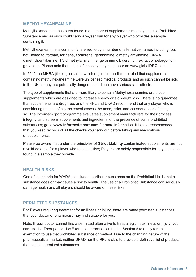# **METHYLHEXANEAMINE**

Methylhexaneamine has been found in a number of supplements recently and is a Prohibited Substance and as such could carry a 2-year ban for any player who provides a sample containing it.

Methylhexaneamine is commonly referred to by a number of alternative names including, but not limited to, forthan, forthane, floradrene, geranamine, dimethylamylamine, DMAA, dimethylpentylamine, 1,3-dimethylamylamine, geranium oil, geranium extract or pelargonium gravelons. Please note that not all of these synonyms appear on www.globalDRO.com.

In 2012 the MHRA (the organisation which regulates medicines) ruled that supplements containing methylhexaneamine were unlicensed medical products and as such cannot be sold in the UK as they are potentially dangerous and can have serious side-effects.

The type of supplements that are more likely to contain Methylhexaneamine are those supplements which are designed to increase energy or aid weight loss. There is no guarantee that supplements are drug free, and the RFL and UKAD recommend that any player who is considering the use of a supplement assess the need, risks, and consequences of doing so. The Informed-Sport programme evaluates supplement manufacturers for their process integrity, and screens supplements and ingredients for the presence of some prohibited substances; go to **www.informed-sport.com** for more information. It is also recommended that you keep records of all the checks you carry out before taking any medications or supplements.

Please be aware that under the principles of **Strict Liability** contaminated supplements are not a valid defence for a player who tests positive; Players are solely responsible for any substance found in a sample they provide.

# **HEALTH RISKS**

One of the criteria for WADA to include a particular substance on the Prohibited List is that a substance does or may cause a risk to health. The use of a Prohibited Substance can seriously damage health and all players should be aware of these risks.

# **PERMITTED SUBSTANCES**

For Players requiring treatment for an illness or injury, there are many permitted substances that your doctor or pharmacist may find suitable for you.

Note: If your doctor cannot find a permitted alternative to treat a legitimate illness or injury, you can use the Therapeutic Use Exemption process outlined in Section 6 to apply for an exemption to use that prohibited substance or method. Due to the changing nature of the pharmaceutical market, neither UKAD nor the RFL is able to provide a definitive list of products that contain permitted substances.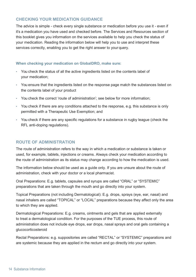# **CHECKING YOUR MEDICATION GUIDANCE**

The advice is simple - check every single substance or medication before you use it - even if it's a medication you have used and checked before. The Services and Resources section of this booklet gives you information on the services available to help you check the status of your medication. Reading the information below will help you to use and interpret these services correctly, enabling you to get the right answer to your query.

# **When checking your medication on GlobalDRO, make sure:**

- You check the status of all the active ingredients listed on the contents label of your medication;
- You ensure that the ingredients listed on the response page match the substances listed on the contents label of your product
- You check the correct 'route of administration'; see below for more information;
- You check if there are any conditions attached to the response, e.g. this substance is only permitted with a Therapeutic Use Exemption; and
- You check if there are any specific regulations for a substance in rugby league (check the RFL anti-doping regulations).

# **ROUTE OF ADMINISTRATION**

The route of administration refers to the way in which a medication or substance is taken or used, for example, tablets, injections or creams. Always check your medication according to the route of administration as its status may change according to how the medication is used.

The information below should be used as a guide only. If you are unsure about the route of administration, check with your doctor or a local pharmacist.

Oral Preparations: E.g. tablets, capsules and syrups are called "ORAL" or "SYSTEMIC" preparations that are taken through the mouth and go directly into your system.

Topical Preparations (not including Dermatological): E.g. drops, sprays (eye, ear, nasal) and nasal inhalers are called "TOPICAL" or "LOCAL" preparations because they affect only the area to which they are applied.

Dermatological Preparations: E.g. creams, ointments and gels that are applied externally to treat a dermatological condition. For the purposes of the TUE process, this route of administration does not include eye drops, ear drops, nasal sprays and oral gels containing a glucocorticosteroid

Rectal Preparations: e.g. suppositories are called "RECTAL" or "SYSTEMIC" preparations and are systemic because they are applied in the rectum and go directly into your system.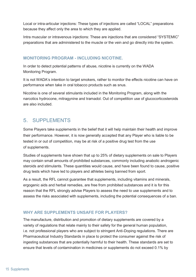Local or intra-articular injections: These types of injections are called "LOCAL" preparations because they affect only the area to which they are applied.

Intra muscular or intravenous injections: These are injections that are considered "SYSTEMIC" preparations that are administered to the muscle or the vein and go directly into the system.

# **MONITORING PROGRAM - INCLUDING NICOTINE.**

In order to detect potential patterns of abuse, nicotine is currently on the WADA Monitoring Program.

It is not WADA's intention to target smokers, rather to monitor the effects nicotine can have on performance when take in oral tobacco products such as snus.

Nicotine is one of several stimulants included in the Monitoring Program, along with the narcotics hydrocone, mitragynine and tramadol. Out of competition use of glucocorticosteroids are also included.

# 5. SUPPLEMENTS

Some Players take supplements in the belief that it will help maintain their health and improve their performance. However, it is now generally accepted that any Player who is liable to be tested in or out of competition, may be at risk of a positive drug test from the use of supplements.

Studies of supplements have shown that up to 25% of dietary supplements on sale to Players may contain small amounts of prohibited substances, commonly including anabolic androgenic steroids and stimulants. These quantities would cause, and have been found to cause, positive drug tests which have led to players and athletes being banned from sport.

As a result, the RFL cannot guarantee that supplements, including vitamins and minerals, ergogenic aids and herbal remedies, are free from prohibited substances and it is for this reason that the RFL strongly advise Players to assess the need to use supplements and to assess the risks associated with supplements, including the potential consequences of a ban.

# **WHY ARE SUPPLEMENTS UNSAFE FOR PLAYERS?**

The manufacture, distribution and promotion of dietary supplements are covered by a variety of regulations that relate mainly to their safety for the general human population, i.e. not professional players who are subject to stringent Anti-Doping regulations. There are Pharmaceutical Industry Standards in place to protect the consumer against the risk of ingesting substances that are potentially harmful to their health. These standards are set to ensure that levels of contamination in medicines or supplements do not exceed 0.1% by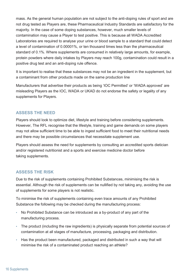mass. As the general human population are not subject to the anti-doping rules of sport and are not drug tested as Players are, these Pharmaceutical Industry Standards are satisfactory for the majority. In the case of some doping substances, however, much smaller levels of contamination may cause a Player to test positive. This is because all WADA Accredited Laboratories are required to analyse your urine or blood sample to a standard that could detect a level of contamination of 0.00001%, or ten thousand times less than the pharmaceutical standard of 0.1%. Where supplements are consumed in relatively large amounts, for example, protein powders where daily intakes by Players may reach 100g, contamination could result in a positive drug test and an anti-doping rule offence.

It is important to realise that these substances may not be an ingredient in the supplement, but a contaminant from other products made on the same production line

Manufacturers that advertise their products as being 'IOC Permitted' or 'WADA approved' are misleading Players as the IOC, WADA or UKAD do not endorse the safety or legality of any supplements for Players.

# **ASSESS THE NEED**

Players should look to optimize diet, lifestyle and training before considering supplements. However, The RFL recognise that the lifestyle, training and game demands on some players may not allow sufficient time to be able to ingest sufficient food to meet their nutritional needs and there may be possible circumstances that necessitate supplement use.

Players should assess the need for supplements by consulting an accredited sports dietician and/or registered nutritionist and a sports and exercise medicine doctor before taking supplements.

# **ASSESS THE RISK**

Due to the risk of supplements containing Prohibited Substances, minimising the risk is essential. Although the risk of supplements can be nullified by not taking any, avoiding the use of supplements for some players is not realistic.

To minimise the risk of supplements containing even trace amounts of any Prohibited Substance the following may be checked during the manufacturing process:

- No Prohibited Substance can be introduced as a by-product of any part of the manufacturing process.
- The product (including the raw ingredients) is physically separate from potential sources of contamination at all stages of manufacture, processing, packaging and distribution.
- Has the product been manufactured, packaged and distributed in such a way that will minimise the risk of a contaminated product reaching an athlete?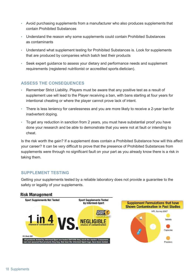- Avoid purchasing supplements from a manufacturer who also produces supplements that contain Prohibited Substances
- Understand the reason why some supplements could contain Prohibited Substances as contaminants
- Understand what supplement testing for Prohibited Substances is. Look for supplements that are produced by companies which batch test their products
- Seek expert guidance to assess your dietary and performance needs and supplement requirements (registered nutritionist or accredited sports dietician).

# **ASSESS THE CONSEQUENCES**

- Remember Strict Liability. Players must be aware that any positive test as a result of supplement use will lead to the Player receiving a ban, with bans starting at four years for intentional cheating or where the player cannot prove lack of intent.
- There is less leniency for carelessness and you are more likely to receive a 2-year ban for inadvertent doping.
- To get any reduction in sanction from 2 years, you must have substantial proof you have done your research and be able to demonstrate that you were not at fault or intending to cheat.

Is the risk worth the gain? If a supplement does contain a Prohibited Substance how will this affect your career? It can be very difficult to prove that the presence of Prohibited Substances from supplements were through no significant fault on your part as you already know there is a risk in taking them.

# **SUPPLEMENT TESTING**

Getting your supplements tested by a reliable laboratory does not provide a guarantee to the safety or legality of your supplements.

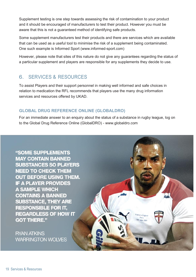Supplement testing is one step towards assessing the risk of contamination to your product and it should be encouraged of manufacturers to test their product. However you must be aware that this is not a guaranteed method of identifying safe products.

Some supplement manufacturers test their products and there are services which are available that can be used as a useful tool to minimise the risk of a supplement being contaminated. One such example is Informed Sport (www.informed-sport.com)

However, please note that sites of this nature do not give any guarantees regarding the status of a particular supplement and players are responsible for any supplements they decide to use.

# 6. SERVICES & RESOURCES

To assist Players and their support personnel in making well informed and safe choices in relation to medication the RFL recommends that players use the many drug information services and resources offered by UKAD.

# **GLOBAL DRUG REFERENCE ONLINE (GLOBALDRO)**

For an immediate answer to an enquiry about the status of a substance in rugby league, log on to the Global Drug Reference Online (GlobalDRO) - www.globaldro.com

"SOME SUPPLEMENTS **MAY CONTAIN BANNED SUBSTANCES SO PLAYERS NEED TO CHECK THEM OUT BEFORE USING THEM. IF A PLAYER PROVIDES A SAMPLE WHICH CONTAINS A BANNED SUBSTANCE, THEY ARE RESPONSIBLE FOR IT. REGARDLESS OF HOW IT GOT THERE." RYAN ATKINS WARRINGTON WOLVES**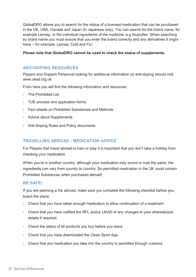GlobalDRO allows you to search for the status of a licensed medication that can be purchased in the UK, USA, Canada and Japan (in Japanese only). You can search for the brand name, for example Lemsip, or the individual ingredients of the medicine, e.g Ibuprofen. When searching by brand name you must ensure that you enter the brand correctly and any derivatives it might have – for example, Lemsip 'Cold and Flu'.

# **Please note that GlobalDRO cannot be used to check the status of supplements.**

# **ANTI-DOPING RESOURCES**

Players and Support Personnel looking for additional information on anti-doping should visit www.ukad.org.uk

From here you will find the following information and resources:

- The Prohibited List
- TUE process and application forms
- Fact sheets on Prohibited Substances and Methods
- Advice about Supplements
- Anti-Doping Rules and Policy documents

# **TRAVELLING ABROAD - MEDICATION ADVICE**

For Players that travel abroad to train or play it is important that you don't take a holiday from checking your medication.

When you're in another country, although your medication may sound or look the same, the ingredients can vary from country to country. So permitted medication in the UK could contain Prohibited Substances when purchased abroad!

# **BE SAFE!**

If you are planning a trip abroad, make sure you complete the following checklist before you board the plane:

- Check that you have taken enough medication to allow continuation of a treatment
- Check that you have notified the RFL and/or UKAD of any changes to your whereabouts details if required.
- Check the status of all products you buy before you leave
- Check that you have downloaded the Clean Sport App
- Check that any medication you take into the country is permitted through customs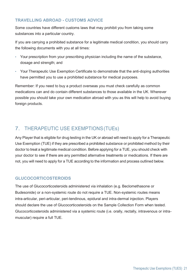# **TRAVELLING ABROAD - CUSTOMS ADVICE**

Some countries have different customs laws that may prohibit you from taking some substances into a particular country.

If you are carrying a prohibited substance for a legitimate medical condition, you should carry the following documents with you at all times:

- Your prescription from your prescribing physician including the name of the substance, dosage and strength; and
- Your Therapeutic Use Exemption Certificate to demonstrate that the anti-doping authorities have permitted you to use a prohibited substance for medical purposes.

Remember: If you need to buy a product overseas you must check carefully as common medications can and do contain different substances to those available in the UK. Wherever possible you should take your own medication abroad with you as this will help to avoid buying foreign products.

# 7. THERAPEUTIC USE EXEMPTIONS(TUEs)

Any Player that is eligible for drug testing in the UK or abroad will need to apply for a Therapeutic Use Exemption (TUE) if they are prescribed a prohibited substance or prohibited method by their doctor to treat a legitimate medical condition. Before applying for a TUE, you should check with your doctor to see if there are any permitted alternative treatments or medications. If there are not, you will need to apply for a TUE according to the information and process outlined below.

# **GLUCOCORTICOSTEROIDS**

The use of Glucocorticosteroids administered via inhalation (e.g. Beclomethasone or Budesonide) or a non-systemic route do not require a TUE. Non-systemic routes means intra-articular, peri-articular, peri-tendinous, epidural and intra-dermal injection. Players should declare the use of Glucocorticosteroids on the Sample Collection Form when tested. Glucocorticosteroids administered via a systemic route (i.e. orally, rectally, intravenous or intramuscular) require a full TUE.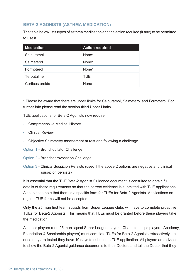# **BETA-2 AGONISTS (ASTHMA MEDICATION)**

The table below lists types of asthma medication and the action required (if any) to be permitted to use it.

| <b>Medication</b> | <b>Action required</b> |  |
|-------------------|------------------------|--|
| Salbutamol        | None*                  |  |
| Salmeterol        | None*                  |  |
| Formoterol        | None*                  |  |
| Terbutaline       | <b>TUE</b>             |  |
| Corticosteroids   | <b>None</b>            |  |

\* Please be aware that there are upper limits for Salbutamol, Salmeterol and Formoterol. For further info please read the section titled Upper Limits.

TUE applications for Beta-2 Agonists now require:

- Comprehensive Medical History
- Clinical Review
- Objective Spirometry assessment at rest and following a challenge
- Option 1 Bronchodilator Challenge
- Option 2 Bronchoprovocation Challenge
- Option 3 Clinical Suspicion Persists (used if the above 2 options are negative and clinical suspicion persists)

It is essential that the TUE Beta-2 Agonist Guidance document is consulted to obtain full details of these requirements so that the correct evidence is submitted with TUE applications. Also, please note that there is a specific form for TUEs for Beta-2 Agonists. Applications on regular TUE forms will not be accepted.

Only the 25 man first team squads from Super League clubs will have to complete proactive TUEs for Beta-2 Agonists. This means that TUEs must be granted before these players take the medication.

All other players (non 25 man squad Super League players, Championships players, Academy, Foundation & Scholarship players) must complete TUEs for Beta-2 Agonists retroactively, i.e. once they are tested they have 10 days to submit the TUE application. All players are advised to show the Beta-2 Agonist guidance documents to their Doctors and tell the Doctor that they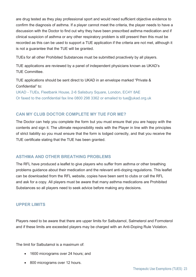are drug tested as they play professional sport and would need sufficient objective evidence to confirm the diagnosis of asthma. If a player cannot meet the criteria, the player needs to have a discussion with the Doctor to find out why they have been prescribed asthma medication and if clinical suspicion of asthma or any other respiratory problem is still present then this must be recorded as this can be used to support a TUE application if the criteria are not met, although it is not a guarantee that the TUE will be granted.

TUEs for all other Prohibited Substances must be submitted proactively by all players.

TUE applications are reviewed by a panel of independent physicians known as UKAD's TUE Committee.

TUE applications should be sent direct to UKAD in an envelope marked "Private & Confidential" to:

UKAD - TUEs, Fleetbank House, 2-6 Salisbury Square, London, EC4Y 8AE Or faxed to the confidential fax line 0800 298 3362 or emailed to tue@ukad.org.uk

# **CAN MY CLUB DOCTOR COMPLETE MY TUE FOR ME?**

The Doctor can help you complete the form but you must ensure that you are happy with the contents and sign it. The ultimate responsibility rests with the Player in line with the principles of strict liability so you must ensure that the form is lodged correctly, and that you receive the TUE certificate stating that the TUE has been granted.

# **ASTHMA AND OTHER BREATHING PROBLEMS**

The RFL have produced a leaflet to give players who suffer from asthma or other breathing problems guidance about their medication and the relevant anti-doping regulations. This leaflet can be downloaded from the RFL website, copies have been sent to clubs or call the RFL and ask for a copy. All players must be aware that many asthma medications are Prohibited Substances so all players need to seek advice before making any decisions.

# **UPPER LIMITS**

Players need to be aware that there are upper limits for Salbutamol, Salmeterol and Formoterol and if these limits are exceeded players may be charged with an Anti-Doping Rule Violation.

The limit for Salbutamol is a maximum of:

- 1600 micrograms over 24 hours; and
- 800 micrograms over 12 hours.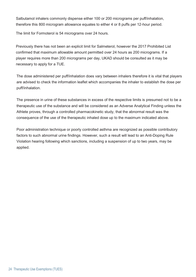Salbutamol inhalers commonly dispense either 100 or 200 micrograms per puff/inhalation, therefore this 800 microgram allowance equates to either 4 or 8 puffs per 12-hour period.

The limit for Formoterol is 54 micrograms over 24 hours.

Previously there has not been an explicit limit for Salmeterol, however the 2017 Prohibited List confirmed that maximum allowable amount permitted over 24 hours as 200 micrograms. If a player requires more than 200 micrograms per day, UKAD should be consulted as it may be necessary to apply for a TUE.

The dose administered per puff/inhalation does vary between inhalers therefore it is vital that players are advised to check the information leaflet which accompanies the inhaler to establish the dose per puff/inhalation.

The presence in urine of these substances in excess of the respective limits is presumed not to be a therapeutic use of the substance and will be considered as an Adverse Analytical Finding unless the Athlete proves, through a controlled pharmacokinetic study, that the abnormal result was the consequence of the use of the therapeutic inhaled dose up to the maximum indicated above.

Poor administration technique or poorly controlled asthma are recognized as possible contributory factors to such abnormal urine findings. However, such a result will lead to an Anti-Doping Rule Violation hearing following which sanctions, including a suspension of up to two years, may be applied.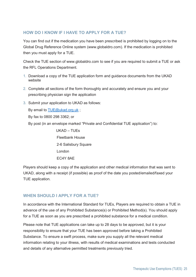# **HOW DO I KNOW IF I HAVE TO APPLY FOR A TUE?**

You can find out if the medication you have been prescribed is prohibited by logging on to the Global Drug Reference Online system (www.globaldro.com). If the medication is prohibited then you must apply for a TUE.

Check the TUE section of www.globaldro.com to see if you are required to submit a TUE or ask the RFL Operations Department.

- 1. Download a copy of the TUE application form and guidance documents from the UKAD website
- 2. Complete all sections of the form thoroughly and accurately and ensure you and your prescribing physician sign the application
- 3. Submit your application to UKAD as follows:

By email to TUE@ukad.org.uk ;

By fax to 0800 298 3362; or

By post (in an envelope marked "Private and Confidential TUE application") to:

UKAD – TUEs Fleetbank House 2-6 Salisbury Square London EC4Y 8AE

Players should keep a copy of the application and other medical information that was sent to UKAD, along with a receipt (if possible) as proof of the date you posted/emailed/faxed your TUE application.

# **WHEN SHOULD I APPLY FOR A TUE?**

In accordance with the International Standard for TUEs, Players are required to obtain a TUE in advance of the use of any Prohibited Substance(s) or Prohibited Method(s). You should apply for a TUE as soon as you are prescribed a prohibited substance for a medical condition.

Please note that TUE applications can take up to 28 days to be approved, but it is your responsibility to ensure that your TUE has been approved before taking a Prohibited Substance. To ensure a swift process, make sure you supply all the relevant medical information relating to your illness, with results of medical examinations and tests conducted and details of any alternative permitted treatments previously tried.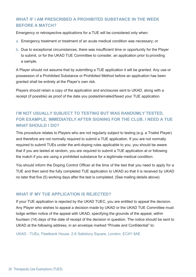# **WHAT IF I AM PRESCRIBED A PROHIBITED SUBSTANCE IN THE WEEK BEFORE A MATCH?**

Emergency or retrospective applications for a TUE will be considered only when:

- a. Emergency treatment or treatment of an acute medical condition was necessary; or
- b. Due to exceptional circumstances, there was insufficient time or opportunity for the Player to submit, or for the UKAD TUE Committee to consider, an application prior to providing a sample.

A Player should not assume that by submitting a TUE application it will be granted. Any use or possession of a Prohibited Substance or Prohibited Method before an application has been granted shall be entirely at the Player's own risk.

Players should retain a copy of the application and enclosures sent to UKAD, along with a receipt (if possible) as proof of the date you posted/emailed/faxed your TUE application.

# **I'M NOT USUALLY SUBJECT TO TESTING BUT WAS RANDOMLY TESTED. FOR EXAMPLE, IMMEDIATELY AFTER SIGNING FOR THE CLUB. I NEED A TUE WHAT SHOULD I DO?**

This procedure relates to Players who are not regularly subject to testing (e.g. a Trialist Player) and therefore are not normally required to submit a TUE application. If you are not normally required to submit TUEs under the anti-doping rules applicable to you, you should be aware that if you are tested at random, you are required to submit a TUE application at or following the match if you are using a prohibited substance for a legitimate medical condition.

You should inform the Doping Control Officer at the time of the test that you need to apply for a TUE and then send the fully completed TUE application to UKAD so that it is received by UKAD no later that five (5) working days after the test is completed. (See mailing details above)

# **WHAT IF MY TUE APPLICATION IS REJECTED?**

If your TUE application is rejected by the UKAD TUEC, you are entitled to appeal the decision. Any Player who wishes to appeal a decision made by UKAD or the UKAD TUE Committee must lodge written notice of the appeal with UKAD, specifying the grounds of the appeal, within fourteen (14) days of the date of receipt of the decision in question. The notice should be sent to UKAD at the following address, in an envelope marked "Private and Confidential" to:

UKAD - TUEs, Fleetbank House, 2-6 Salisbury Square, London, EC4Y 8AE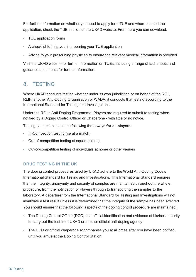For further information on whether you need to apply for a TUE and where to send the application, check the TUE section of the UKAD website. From here you can download:

- TUE application forms
- A checklist to help you in preparing your TUE application
- Advice to your prescribing physician to ensure the relevant medical information is provided

Visit the UKAD website for further information on TUEs, including a range of fact-sheets and guidance documents for further information.

# 8. TESTING

Where UKAD conducts testing whether under its own jurisdiction or on behalf of the RFL, RLIF, another Anti-Doping Organisation or WADA, it conducts that testing according to the International Standard for Testing and Investigations.

Under the RFL's Anti-Doping Programme, Players are required to submit to testing when notified by a Doping Control Officer or Chaperone - with little or no notice.

Testing can take place in the following three ways **for all players**:

- In-Competition testing (i.e at a match)
- Out-of-competition testing at squad training
- Out-of-competition testing of individuals at home or other venues

# **DRUG TESTING IN THE UK**

The doping control procedures used by UKAD adhere to the World Anti-Doping Code's International Standard for Testing and Investigations. This International Standard ensures that the integrity, anonymity and security of samples are maintained throughout the whole procedure, from the notification of Players through to transporting the samples to the laboratory. A departure from the International Standard for Testing and Investigations will not invalidate a test result unless it is determined that the integrity of the sample has been affected. You should ensure that the following aspects of the doping control procedure are maintained:

- The Doping Control Officer (DCO) has official identification and evidence of his/her authority to carry out the test from UKAD or another official anti-doping agency
- The DCO or official chaperone accompanies you at all times after you have been notified, until you arrive at the Doping Control Station.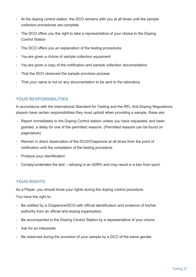- At the doping control station, the DCO remains with you at all times until the sample collection procedures are complete
- The DCO offers you the right to take a representative of your choice to the Doping Control Station
- The DCO offers you an explanation of the testing procedures
- You are given a choice of sample collection equipment
- You are given a copy of the notification and sample collection documentation
- That the DCO observed the sample provision process
- That your name is not on any documentation to be sent to the laboratory

# **YOUR RESPONSIBILITIES**

In accordance with the international Standard for Testing and the RFL Anti-Doping Regulations, players have certain responsibilities they must uphold when providing a sample, these are:

- Report immediately to the Doping Control station unless you have requested, and been granted, a delay for one of the permitted reasons. (Permitted reasons can be found on page below).
- Remain in direct observation of the DCO/Chaperone at all times from the point of notification until the completion of the testing procedure.
- Produce your identification
- Comply/undertake the test refusing is an ADRV and may result in a ban from sport.

# **YOUR RIGHTS**

As a Player, you should know your rights during the doping control procedure.

You have the right to:

- Be notified by a Chaperone/DCO with official identification and evidence of his/her authority from an official anti-doping organisation.
- Be accompanied to the Doping Control Station by a representative of your choice.
- Ask for an interpreter
- Be observed during the provision of your sample by a DCO of the same gender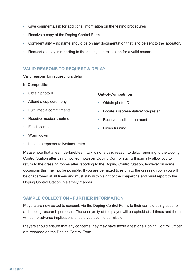- Give comments/ask for additional information on the testing procedures
- Receive a copy of the Doping Control Form
- Confidentiality no name should be on any documentation that is to be sent to the laboratory.
- Request a delay in reporting to the doping control station for a valid reason.

# **VALID REASONS TO REQUEST A DELAY**

Valid reasons for requesting a delay:

### **In-Competition**

- Obtain photo ID
- Attend a cup ceremony
- Fulfil media commitments
- Receive medical treatment
- Finish competing

### **Out-of-Competition**

- Obtain photo ID
- Locate a representative/interpreter
- Receive medical treatment
- Finish training

- Warm down
- Locate a representative/interpreter

Please note that a team de-brief/team talk is not a valid reason to delay reporting to the Doping Control Station after being notified, however Doping Control staff will normally allow you to return to the dressing rooms after reporting to the Doping Control Station, however on some occasions this may not be possible. If you are permitted to return to the dressing room you will be chaperoned at all times and must stay within sight of the chaperone and must report to the Doping Control Station in a timely manner.

# **SAMPLE COLLECTION - FURTHER INFORMATION**

Players are now asked to consent, via the Doping Control Form, to their sample being used for anti-doping research purposes. The anonymity of the player will be upheld at all times and there will be no adverse implications should you decline permission.

Players should ensure that any concerns they may have about a test or a Doping Control Officer are recorded on the Doping Control Form.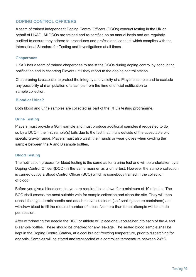# **DOPING CONTROL OFFICERS**

A team of trained independent Doping Control Officers (DCOs) conduct testing in the UK on behalf of UKAD. All DCOs are trained and re-certified on an annual basis and are regularly audited to ensure they adhere to procedures and professional conduct which complies with the International Standard for Testing and Investigations at all times.

# C**haperones**

UKAD has a team of trained chaperones to assist the DCOs during doping control by conducting notification and in escorting Players until they report to the doping control station.

Chaperoning is essential to protect the integrity and validity of a Player's sample and to exclude any possibility of manipulation of a sample from the time of official notification to sample collection.

### **Blood or Urine?**

Both blood and urine samples are collected as part of the RFL's testing programme.

# **Urine Testing**

Players must provide a 90ml sample and must produce additional samples if requested to do so by a DCO if the first sample(s) fails due to the fact that it falls outside of the acceptable pH/ specific gravity range. Players must also wash their hands or wear gloves when dividing the sample between the A and B sample bottles.

# **Blood Testing**

The notification process for blood testing is the same as for a urine test and will be undertaken by a Doping Control Officer (DCO) in the same manner as a urine test. However the sample collection is carried out by a Blood Control Officer (BCO) which is somebody trained in the collection of blood.

Before you give a blood sample, you are required to sit down for a minimum of 10 minutes. The BCO shall assess the most suitable vein for sample collection and clean the site. They will then unseal the hypodermic needle and attach the vaccutainers (self-sealing secure containers) and withdraw blood to fill the required number of tubes. No more than three attempts will be made per session.

After withdrawing the needle the BCO or athlete will place one vaccutainer into each of the A and B sample bottles. These should be checked for any leakage. The sealed blood sample shall be kept in the Doping Control Station, at a cool but not freezing temperature, prior to dispatching for analysis. Samples will be stored and transported at a controlled temperature between  $2$ -8°C.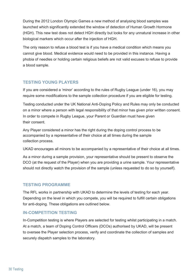During the 2012 London Olympic Games a new method of analysing blood samples was launched which significantly extended the window of detection of Human Growth Hormone (HGH). This new test does not detect HGH directly but looks for any unnatural increase in other biological markers which occur after the injection of HGH.

The only reason to refuse a blood test is if you have a medical condition which means you cannot give blood. Medical evidence would need to be provided in this instance. Having a phobia of needles or holding certain religious beliefs are not valid excuses to refuse to provide a blood sample.

# **TESTING YOUNG PLAYERS**

If you are considered a 'minor' according to the rules of Rugby League (under 16), you may require some modifications to the sample collection procedure if you are eligible for testing.

Testing conducted under the UK National Anti-Doping Policy and Rules may only be conducted on a minor where a person with legal responsibility of that minor has given prior written consent. In order to compete in Rugby League, your Parent or Guardian must have given their consent.

Any Player considered a minor has the right during the doping control process to be accompanied by a representative of their choice at all times during the sample collection process.

UKAD encourages all minors to be accompanied by a representative of their choice at all times.

As a minor during a sample provision, your representative should be present to observe the DCO (at the request of the Player) when you are providing a urine sample. Your representative should not directly watch the provision of the sample (unless requested to do so by yourself).

# **TESTING PROGRAMME**

The RFL works in partnership with UKAD to determine the levels of testing for each year. Depending on the level in which you compete, you will be required to fulfill certain obligations for anti-doping. These obligations are outlined below.

# **IN-COMPETITION TESTING**

In-Competition testing is where Players are selected for testing whilst participating in a match. At a match, a team of Doping Control Officers (DCOs) authorised by UKAD, will be present to oversee the Player selection process, verify and coordinate the collection of samples and securely dispatch samples to the laboratory.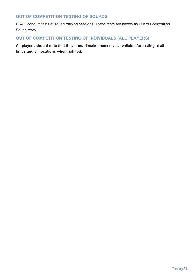# **OUT OF COMPETITION TESTING OF SQUADS**

UKAD conduct tests at squad training sessions. These tests are known as Out of Competition Squad tests.

# **OUT OF COMPETITION TESTING OF INDIVIDUALS (ALL PLAYERS)**

**All players should note that they should make themselves available for testing at all times and all locations when notified.**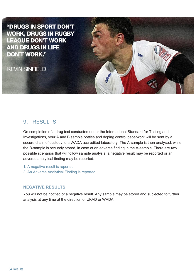"DRUGS IN SPORT DON'T **WORK, DRUGS IN RUGBY LEAGUE DON'T WORK AND DRUGS IN LIFE DON'T WORK."** 

**KEVIN SINFIELD** 



On completion of a drug test conducted under the International Standard for Testing and Investigations, your A and B sample bottles and doping control paperwork will be sent by a secure chain of custody to a WADA accredited laboratory. The A-sample is then analysed, while the B-sample is securely stored, in case of an adverse finding in the A-sample. There are two possible scenarios that will follow sample analysis; a negative result may be reported or an adverse analytical finding may be reported.

- 1. A negative result is reported.
- 2. An Adverse Analytical Finding is reported.

# **NEGATIVE RESULTS**

You will not be notified of a negative result. Any sample may be stored and subjected to further analysis at any time at the direction of UKAD or WADA.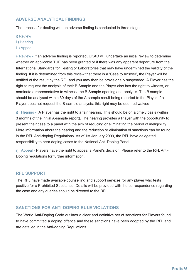# **ADVERSE ANALYTICAL FINDINGS**

The process for dealing with an adverse finding is conducted in three stages:

- i) Review
- ii) Hearing
- iii) Appeal

i) Review - If an adverse finding is reported, UKAD will undertake an initial review to determine whether an applicable TUE has been granted or if there was any apparent departure from the International Standards for Testing or Laboratories that may have undermined the validity of the finding. If it is determined from this review that there is a 'Case to Answer', the Player will be notified of the result by the RFL and you may then be provisionally suspended. A Player has the right to request the analysis of their B Sample and the Player also has the right to witness, or nominate a representative to witness, the B Sample opening and analysis. The B sample should be analysed within 30 days of the A-sample result being reported to the Player. If a Player does not request the B-sample analysis, this right may be deemed waived.

ii) Hearing - A Player has the right to a fair hearing. This should be on a timely basis (within 3 months of the initial A-sample report). The hearing provides a Player with the opportunity to present their case to a panel with the aim of reducing or eliminating the period of ineligibility. More information about the hearing and the reduction or elimination of sanctions can be found in the RFL Anti-doping Regulations. As of 1st January 2009, the RFL have delegated responsibility to hear doping cases to the National Anti-Doping Panel.

iii) Appeal - Players have the right to appeal a Panel's decision. Please refer to the RFL Anti-Doping regulations for further information.

# **RFL SUPPORT**

The RFL have made available counselling and support services for any player who tests positive for a Prohibited Substance. Details will be provided with the correspondence regarding the case and any queries should be directed to the RFL.

# **SANCTIONS FOR ANTI-DOPING RULE VIOLATIONS**

The World Anti-Doping Code outlines a clear and definitive set of sanctions for Players found to have committed a doping offence and these sanctions have been adopted by the RFL and are detailed in the Anti-doping Regulations.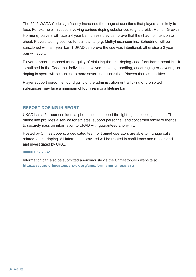The 2015 WADA Code significantly increased the range of sanctions that players are likely to face. For example, in cases involving serious doping substances (e.g. steroids, Human Growth Hormone) players will face a 4 year ban, unless they can prove that they had no intention to cheat. Players testing positive for stimulants (e.g. Methylhexaneamine, Ephedrine) will be sanctioned with a 4 year ban if UKAD can prove the use was intentional, otherwise a 2 year ban will apply.

Player support personnel found guilty of violating the anti-doping code face harsh penalties. It is outlined in the Code that individuals involved in aiding, abetting, encouraging or covering up doping in sport, will be subject to more severe sanctions than Players that test positive.

Player support personnel found guilty of the administration or trafficking of prohibited substances may face a minimum of four years or a lifetime ban.

# **REPORT DOPING IN SPORT**

UKAD has a 24-hour confidential phone line to support the fight against doping in sport. The phone line provides a service for athletes, support personnel, and concerned family or friends to securely pass on information to UKAD with guaranteed anonymity.

Hosted by Crimestoppers, a dedicated team of trained operators are able to manage calls related to anti-doping. All information provided will be treated in confidence and researched and investigated by UKAD.

### **08000 032 2332**

Information can also be submitted anonymously via the Crimestoppers website at **https://secure.crimestoppers-uk.org/ams.form.anonymous.asp**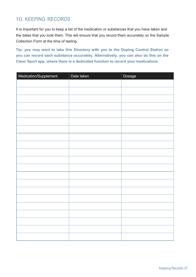# 10. KEEPING RECORDS

It is important for you to keep a list of the medication or substances that you have taken and the dates that you took them. This will ensure that you record them accurately on the Sample Collection Form at the time of testing.

**Tip: you may want to take this Directory with you to the Doping Control Station so you can record each substance accurately. Alternatively, you can also do this on the Clean Sport app, where there is a dedicated function to record your medications.**

| Medication/Supplement | Date taken | Dosage |
|-----------------------|------------|--------|
|                       |            |        |
|                       |            |        |
|                       |            |        |
|                       |            |        |
|                       |            |        |
|                       |            |        |
|                       |            |        |
|                       |            |        |
|                       |            |        |
|                       |            |        |
|                       |            |        |
|                       |            |        |
|                       |            |        |
|                       |            |        |
|                       |            |        |
|                       |            |        |
|                       |            |        |
|                       |            |        |
|                       |            |        |
|                       |            |        |
|                       |            |        |
|                       |            |        |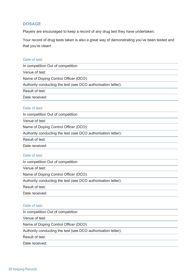# **DOSAGE**

Players are encouraged to keep a record of any drug test they have undertaken.

Your record of drug tests taken is also a great way of demonstrating you've been tested and that you're clean!

### Date of test:

In competition Out of competition

Venue of test:

Name of Doping Control Officer (DCO):

Authority conducting the test (see DCO authorisation letter):

Result of test:

Date received:

### Date of test:

In competition Out of competition

Venue of test:

Name of Doping Control Officer (DCO):

Authority conducting the test (see DCO authorisation letter):

Result of test:

Date received:

### Date of test:

In competition Out of competition

Venue of test:

Name of Doping Control Officer (DCO):

Authority conducting the test (see DCO authorisation letter):

Result of test:

Date received:

### Date of test:

In competition Out of competition

Venue of test:

Name of Doping Control Officer (DCO):

Authority conducting the test (see DCO authorisation letter):

Result of test:

Date received: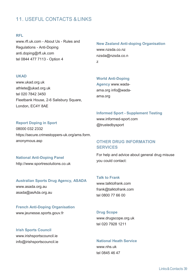# 11. USEFUL CONTACTS & LINKS

### **RFL**

www.rfl.uk.com - About Us - Rules and Regulations - Anti-Doping anti.doping@rfl.uk.com tel 0844 477 7113 - Option 4

### **UKAD**

www.ukad.org.uk athlete@ukad.org.uk tel 020 7842 3450 Fleetbank House, 2-6 Salisbury Square, London, EC4Y 8AE

### **Report Doping in Sport**

08000 032 2332 https://secure.crimestoppers-uk.org/ams.form. anonymous.asp

# **National Anti-Doping Panel** http://www.sportresolutions.co.uk

### **Australian Sports Drug Agency, ASADA**

www.asada.org.au asada@asAda.org.au

### **French Anti-Doping Organisation**

www.jeunesse.sports.gouv.fr

**Irish Sports Council**  www.irishsportscouncil.ie info@irishsportscouncil.ie

**New Zealand Anti-doping Organisation** www.nzsda.co.nz nzsda@nzsda.co.n z

### **World Anti-Doping**

**Agency** www.wadaama.org info@wadaama.org

### **Informed Sport - Supplement Testing**

www.informed-sport.com @trustedbysport

# **OTHER DRUG INFORMATION SERVICES**

For help and advice about general drug misuse you could contact:

### **Talk to Frank**

www.talktofrank.com frank@talktofrank.com tel 0800 77 66 00

### **Drug Scope**

www.drugscope.org.uk tel 020 7928 1211

### **National Heath Service**

www.nhs.uk tel 0845 46 47